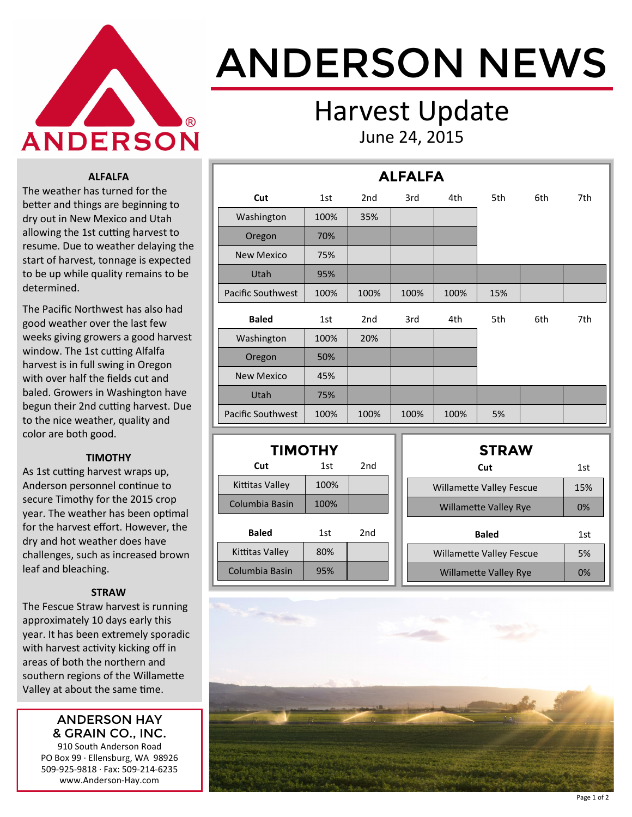

# ANDERSON NEWS

### Harvest Update June 24, 2015

**ALFALFA**

#### **ALFALFA**

The weather has turned for the better and things are beginning to dry out in New Mexico and Utah allowing the 1st cutting harvest to resume. Due to weather delaying the start of harvest, tonnage is expected to be up while quality remains to be determined.

The Pacific Northwest has also had good weather over the last few weeks giving growers a good harvest window. The 1st cutting Alfalfa harvest is in full swing in Oregon with over half the fields cut and baled. Growers in Washington have begun their 2nd cutting harvest. Due to the nice weather, quality and color are both good.

#### **TIMOTHY**

As 1st cutting harvest wraps up, Anderson personnel continue to secure Timothy for the 2015 crop year. The weather has been optimal for the harvest effort. However, the dry and hot weather does have challenges, such as increased brown leaf and bleaching.

#### **STRAW**

The Fescue Straw harvest is running approximately 10 days early this year. It has been extremely sporadic with harvest activity kicking off in areas of both the northern and southern regions of the Willamette Valley at about the same time.

#### ANDERSON HAY & GRAIN CO., INC.

910 South Anderson Road PO Box 99 · Ellensburg, WA 98926 509-925-9818 · Fax: 509-214-6235 www.Anderson-Hay.com

|                   |      |                 | ALFALFA |      |     |     |     |
|-------------------|------|-----------------|---------|------|-----|-----|-----|
| Cut               | 1st  | 2 <sub>nd</sub> | 3rd     | 4th  | 5th | 6th | 7th |
| Washington        | 100% | 35%             |         |      |     |     |     |
| Oregon            | 70%  |                 |         |      |     |     |     |
| <b>New Mexico</b> | 75%  |                 |         |      |     |     |     |
| Utah              | 95%  |                 |         |      |     |     |     |
| Pacific Southwest | 100% | 100%            | 100%    | 100% | 15% |     |     |
| <b>Baled</b>      | 1st  | 2 <sub>nd</sub> | 3rd     | 4th  | 5th | 6th | 7th |
| Washington        | 100% | 20%             |         |      |     |     |     |
| Oregon            | 50%  |                 |         |      |     |     |     |
| <b>New Mexico</b> | 45%  |                 |         |      |     |     |     |
| Utah              | 75%  |                 |         |      |     |     |     |
| Pacific Southwest | 100% | 100%            | 100%    | 100% | 5%  |     |     |

| <b>TIMOTHY</b>  |      |     |  |  |  |  |  |  |
|-----------------|------|-----|--|--|--|--|--|--|
| Cut             | 1st  | 2nd |  |  |  |  |  |  |
| Kittitas Vallev | 100% |     |  |  |  |  |  |  |
| Columbia Basin  | 100% |     |  |  |  |  |  |  |
| <b>Baled</b>    | 1st  | 2nd |  |  |  |  |  |  |
| Kittitas Valley | 80%  |     |  |  |  |  |  |  |
| Columbia Basin  | 95%  |     |  |  |  |  |  |  |

| <b>STRAW</b>                    |     |
|---------------------------------|-----|
| Cut                             | 1st |
| <b>Willamette Valley Fescue</b> | 15% |
| <b>Willamette Valley Rye</b>    | 0%  |
| <b>Baled</b>                    | 1st |
| <b>Willamette Valley Fescue</b> | 5%  |
| <b>Willamette Valley Rye</b>    | 0%  |